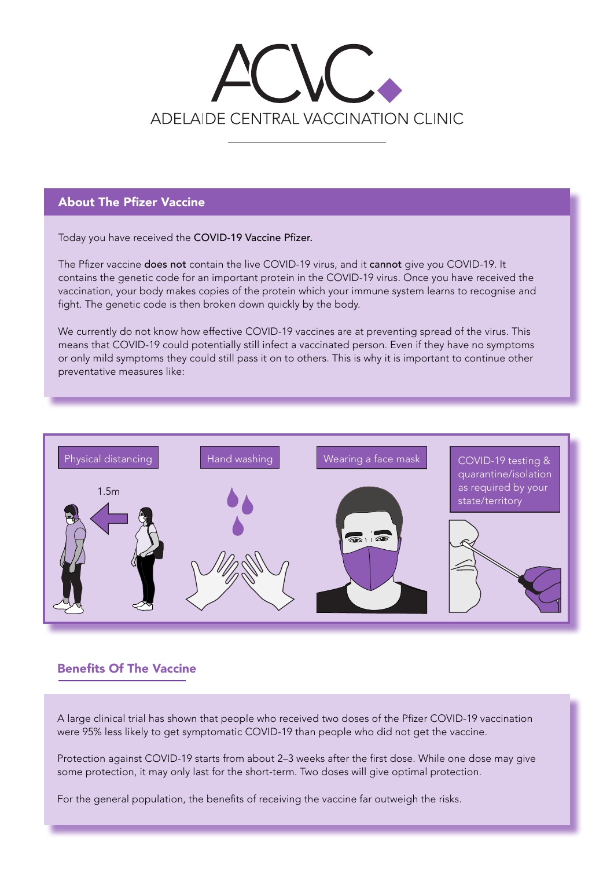# ADELAIDE CENTRAL VACCINATION CLINIC

#### About The Pfizer Vaccine

Today you have received the COVID-19 Vaccine Pfizer.

The Pfizer vaccine does not contain the live COVID-19 virus, and it cannot give you COVID-19. It contains the genetic code for an important protein in the COVID-19 virus. Once you have received the vaccination, your body makes copies of the protein which your immune system learns to recognise and fight. The genetic code is then broken down quickly by the body.

We currently do not know how effective COVID-19 vaccines are at preventing spread of the virus. This means that COVID-19 could potentially still infect a vaccinated person. Even if they have no symptoms or only mild symptoms they could still pass it on to others. This is why it is important to continue other preventative measures like:



# Benefits Of The Vaccine

A large clinical trial has shown that people who received two doses of the Pfizer COVID-19 vaccination were 95% less likely to get symptomatic COVID-19 than people who did not get the vaccine.

Protection against COVID-19 starts from about 2–3 weeks after the first dose. While one dose may give some protection, it may only last for the short-term. Two doses will give optimal protection.

For the general population, the benefits of receiving the vaccine far outweigh the risks.